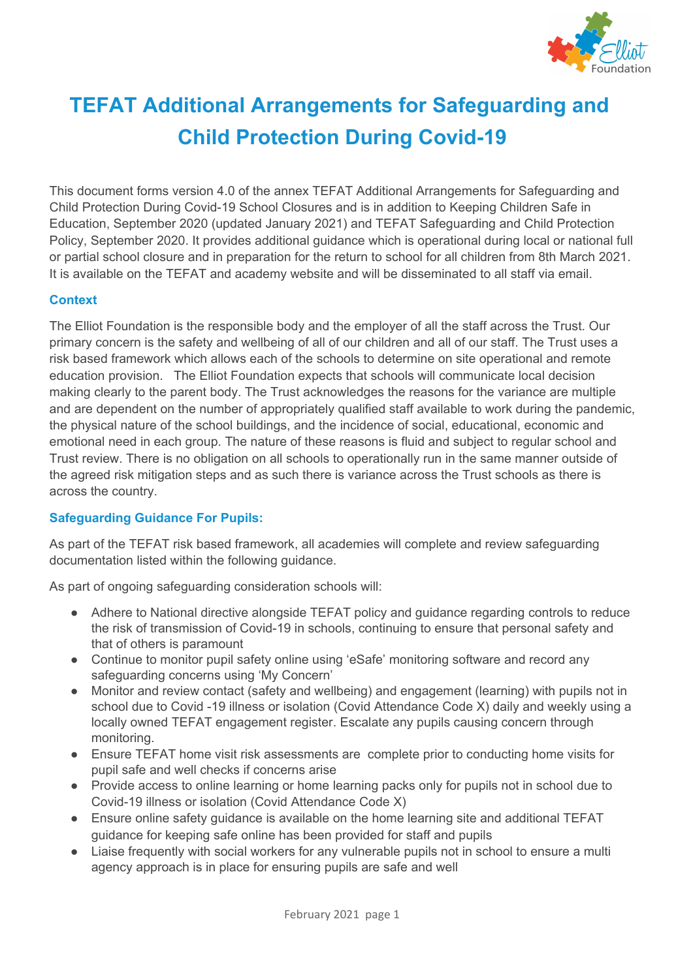

# **TEFAT Additional Arrangements for Safeguarding and Child Protection During Covid-19**

This document forms version 4.0 of the annex TEFAT Additional Arrangements for Safeguarding and Child Protection During Covid-19 School Closures and is in addition to Keeping Children Safe in Education, September 2020 (updated January 2021) and TEFAT Safeguarding and Child Protection Policy, September 2020. It provides additional guidance which is operational during local or national full or partial school closure and in preparation for the return to school for all children from 8th March 2021. It is available on the TEFAT and academy website and will be disseminated to all staff via email.

### **Context**

The Elliot Foundation is the responsible body and the employer of all the staff across the Trust. Our primary concern is the safety and wellbeing of all of our children and all of our staff. The Trust uses a risk based framework which allows each of the schools to determine on site operational and remote education provision. The Elliot Foundation expects that schools will communicate local decision making clearly to the parent body. The Trust acknowledges the reasons for the variance are multiple and are dependent on the number of appropriately qualified staff available to work during the pandemic, the physical nature of the school buildings, and the incidence of social, educational, economic and emotional need in each group. The nature of these reasons is fluid and subject to regular school and Trust review. There is no obligation on all schools to operationally run in the same manner outside of the agreed risk mitigation steps and as such there is variance across the Trust schools as there is across the country.

### **Safeguarding Guidance For Pupils:**

As part of the TEFAT risk based framework, all academies will complete and review safeguarding documentation listed within the following guidance.

As part of ongoing safeguarding consideration schools will:

- Adhere to National directive alongside TEFAT policy and guidance regarding controls to reduce the risk of transmission of Covid-19 in schools, continuing to ensure that personal safety and that of others is paramount
- Continue to monitor pupil safety online using 'eSafe' monitoring software and record any safeguarding concerns using 'My Concern'
- Monitor and review contact (safety and wellbeing) and engagement (learning) with pupils not in school due to Covid -19 illness or isolation (Covid Attendance Code X) daily and weekly using a locally owned TEFAT engagement register. Escalate any pupils causing concern through monitoring.
- Ensure TEFAT home visit risk assessments are complete prior to conducting home visits for pupil safe and well checks if concerns arise
- Provide access to online learning or home learning packs only for pupils not in school due to Covid-19 illness or isolation (Covid Attendance Code X)
- Ensure online safety guidance is available on the home learning site and additional TEFAT guidance for keeping safe online has been provided for staff and pupils
- Liaise frequently with social workers for any vulnerable pupils not in school to ensure a multi agency approach is in place for ensuring pupils are safe and well